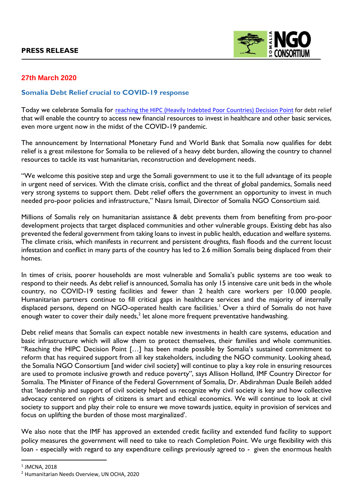

## **27th March 2020**

## **Somalia Debt Relief crucial to COVID-19 response**

Today we celebrate Somalia for reaching the HIPC [\(Heavily Indebted Poor Countries\) Decision Point](https://www.imf.org/en/News/Articles/2020/03/25/pr20104-somalia-somalia-to-receive-debt-relief-under-the-enhanced-hipc-initiative) for debt relief that will enable the country to access new financial resources to invest in healthcare and other basic services, even more urgent now in the midst of the COVID-19 pandemic.

The announcement by International Monetary Fund and World Bank that Somalia now qualifies for debt relief is a great milestone for Somalia to be relieved of a heavy debt burden, allowing the country to channel resources to tackle its vast humanitarian, reconstruction and development needs.

"We welcome this positive step and urge the Somali government to use it to the full advantage of its people in urgent need of services. With the climate crisis, conflict and the threat of global pandemics, Somalis need very strong systems to support them. Debt relief offers the government an opportunity to invest in much needed pro-poor policies and infrastructure," Nasra Ismail, Director of Somalia NGO Consortium said.

Millions of Somalis rely on humanitarian assistance & debt prevents them from benefiting from pro-poor development projects that target displaced communities and other vulnerable groups. Existing debt has also prevented the federal government from taking loans to invest in public health, education and welfare systems. The climate crisis, which manifests in recurrent and persistent droughts, flash floods and the current locust infestation and conflict in many parts of the country has led to 2.6 million Somalis being displaced from their homes.

In times of crisis, poorer households are most vulnerable and Somalia's public systems are too weak to respond to their needs. As debt relief is announced, Somalia has only 15 intensive care unit beds in the whole country, no COVID-19 testing facilities and fewer than 2 health care workers per 10.000 people. Humanitarian partners continue to fill critical gaps in healthcare services and the majority of internally displaced persons, depend on NGO-operated health care facilities.<sup>1</sup> Over a third of Somalis do not have enough water to cover their daily needs,<sup>2</sup> let alone more frequent preventative handwashing.

Debt relief means that Somalis can expect notable new investments in health care systems, education and basic infrastructure which will allow them to protect themselves, their families and whole communities. "Reaching the HIPC Decision Point […] has been made possible by Somalia's sustained commitment to reform that has required support from all key stakeholders, including the NGO community. Looking ahead, the Somalia NGO Consortium [and wider civil society] will continue to play a key role in ensuring resources are used to promote inclusive growth and reduce poverty", says Allison Holland, IMF Country Director for Somalia. The Minister of Finance of the Federal Government of Somalia, Dr. Abdirahman Duale Beileh added that 'leadership and support of civil society helped us recognize why civil society is key and how collective advocacy centered on rights of citizens is smart and ethical economics. We will continue to look at civil society to support and play their role to ensure we move towards justice, equity in provision of services and focus on uplifting the burden of those most marginalized'.

We also note that the IMF has approved an extended credit facility and extended fund facility to support policy measures the government will need to take to reach Completion Point. We urge flexibility with this loan - especially with regard to any expenditure ceilings previously agreed to - given the enormous health

 $\overline{\phantom{a}}$ 

 $^{\rm 1}$  JMCNA, 2018

<sup>2</sup> Humanitarian Needs Overview, UN OCHA, 2020